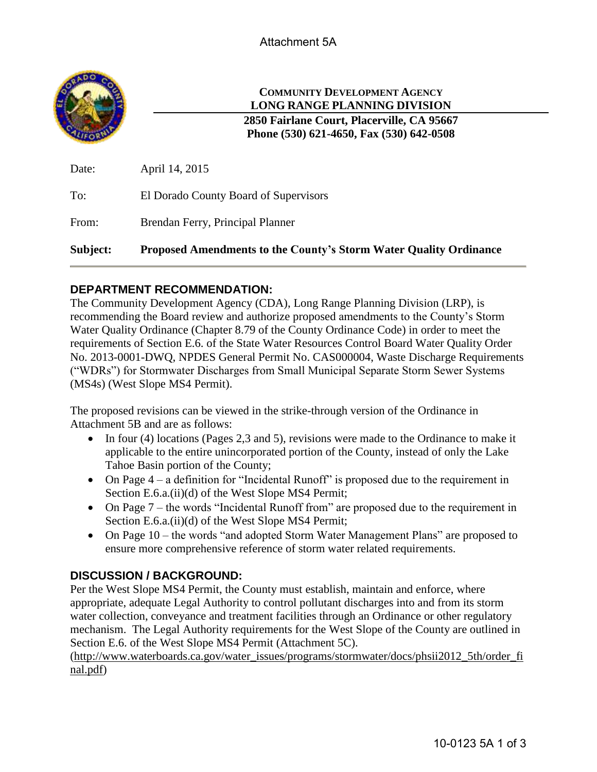

# **COMMUNITY DEVELOPMENT AGENCY LONG RANGE PLANNING DIVISION**

**2850 Fairlane Court, Placerville, CA 95667 Phone (530) 621-4650, Fax (530) 642-0508**

| Subject: | <b>Proposed Amendments to the County's Storm Water Quality Ordinance</b> |
|----------|--------------------------------------------------------------------------|
| From:    | Brendan Ferry, Principal Planner                                         |
| To:      | El Dorado County Board of Supervisors                                    |
| Date:    | April 14, 2015                                                           |

## **DEPARTMENT RECOMMENDATION:**

The Community Development Agency (CDA), Long Range Planning Division (LRP), is recommending the Board review and authorize proposed amendments to the County's Storm Water Quality Ordinance (Chapter 8.79 of the County Ordinance Code) in order to meet the requirements of Section E.6. of the State Water Resources Control Board Water Quality Order No. 2013-0001-DWQ, NPDES General Permit No. CAS000004, Waste Discharge Requirements ("WDRs") for Stormwater Discharges from Small Municipal Separate Storm Sewer Systems (MS4s) (West Slope MS4 Permit).

The proposed revisions can be viewed in the strike-through version of the Ordinance in Attachment 5B and are as follows:

- In four (4) locations (Pages 2,3 and 5), revisions were made to the Ordinance to make it applicable to the entire unincorporated portion of the County, instead of only the Lake Tahoe Basin portion of the County;
- On Page  $4 a$  definition for "Incidental Runoff" is proposed due to the requirement in Section E.6.a.(ii)(d) of the West Slope MS4 Permit;
- On Page 7 the words "Incidental Runoff from" are proposed due to the requirement in Section E.6.a.(ii)(d) of the West Slope MS4 Permit;
- On Page 10 the words "and adopted Storm Water Management Plans" are proposed to ensure more comprehensive reference of storm water related requirements.

# **DISCUSSION / BACKGROUND:**

Per the West Slope MS4 Permit, the County must establish, maintain and enforce, where appropriate, adequate Legal Authority to control pollutant discharges into and from its storm water collection, conveyance and treatment facilities through an Ordinance or other regulatory mechanism. The Legal Authority requirements for the West Slope of the County are outlined in Section E.6. of the West Slope MS4 Permit (Attachment 5C).

[\(http://www.waterboards.ca.gov/water\\_issues/programs/stormwater/docs/phsii2012\\_5th/order\\_fi](http://www.waterboards.ca.gov/water_issues/programs/stormwater/docs/phsii2012_5th/order_final.pdf) [nal.pdf\)](http://www.waterboards.ca.gov/water_issues/programs/stormwater/docs/phsii2012_5th/order_final.pdf)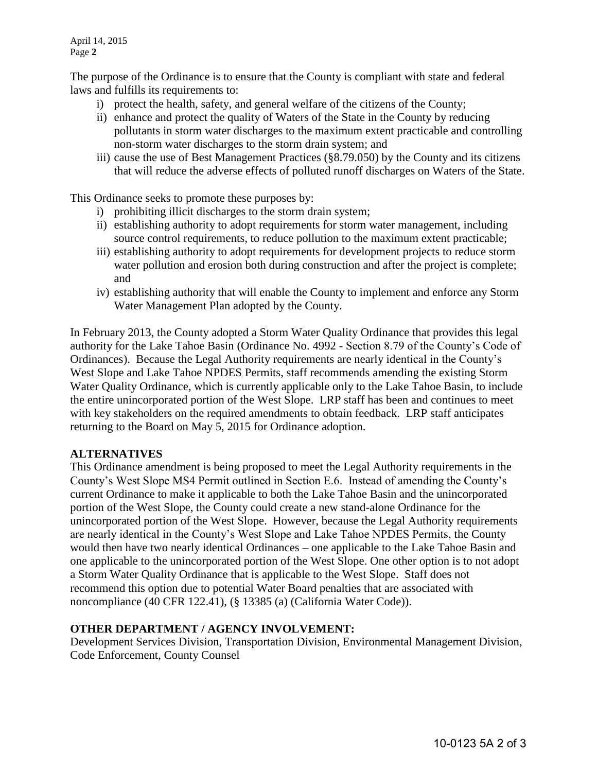The purpose of the Ordinance is to ensure that the County is compliant with state and federal laws and fulfills its requirements to:

- i) protect the health, safety, and general welfare of the citizens of the County;
- ii) enhance and protect the quality of Waters of the State in the County by reducing pollutants in storm water discharges to the maximum extent practicable and controlling non-storm water discharges to the storm drain system; and
- iii) cause the use of Best Management Practices (§8.79.050) by the County and its citizens that will reduce the adverse effects of polluted runoff discharges on Waters of the State.

This Ordinance seeks to promote these purposes by:

- i) prohibiting illicit discharges to the storm drain system;
- ii) establishing authority to adopt requirements for storm water management, including source control requirements, to reduce pollution to the maximum extent practicable;
- iii) establishing authority to adopt requirements for development projects to reduce storm water pollution and erosion both during construction and after the project is complete; and
- iv) establishing authority that will enable the County to implement and enforce any Storm Water Management Plan adopted by the County.

In February 2013, the County adopted a Storm Water Quality Ordinance that provides this legal authority for the Lake Tahoe Basin (Ordinance No. 4992 - Section 8.79 of the County's Code of Ordinances). Because the Legal Authority requirements are nearly identical in the County's West Slope and Lake Tahoe NPDES Permits, staff recommends amending the existing Storm Water Quality Ordinance, which is currently applicable only to the Lake Tahoe Basin, to include the entire unincorporated portion of the West Slope. LRP staff has been and continues to meet with key stakeholders on the required amendments to obtain feedback. LRP staff anticipates returning to the Board on May 5, 2015 for Ordinance adoption.

#### **ALTERNATIVES**

This Ordinance amendment is being proposed to meet the Legal Authority requirements in the County's West Slope MS4 Permit outlined in Section E.6. Instead of amending the County's current Ordinance to make it applicable to both the Lake Tahoe Basin and the unincorporated portion of the West Slope, the County could create a new stand-alone Ordinance for the unincorporated portion of the West Slope. However, because the Legal Authority requirements are nearly identical in the County's West Slope and Lake Tahoe NPDES Permits, the County would then have two nearly identical Ordinances – one applicable to the Lake Tahoe Basin and one applicable to the unincorporated portion of the West Slope. One other option is to not adopt a Storm Water Quality Ordinance that is applicable to the West Slope. Staff does not recommend this option due to potential Water Board penalties that are associated with noncompliance (40 CFR 122.41), (§ 13385 (a) (California Water Code)).

#### **OTHER DEPARTMENT / AGENCY INVOLVEMENT:**

Development Services Division, Transportation Division, Environmental Management Division, Code Enforcement, County Counsel